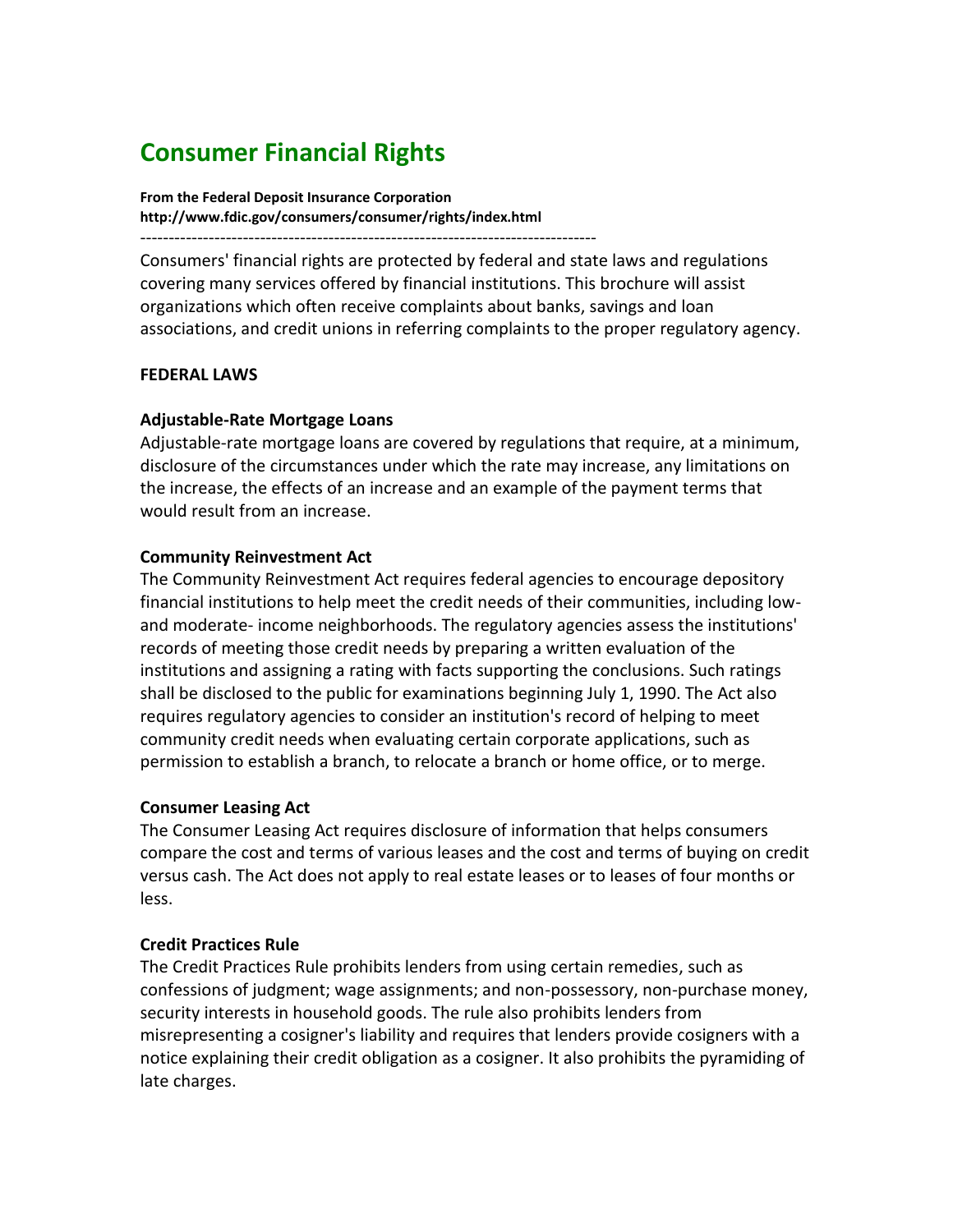# **Consumer Financial Rights**

**From the Federal Deposit Insurance Corporation http://www.fdic.gov/consumers/consumer/rights/index.html**

--------------------------------------------------------------------------------

Consumers' financial rights are protected by federal and state laws and regulations covering many services offered by financial institutions. This brochure will assist organizations which often receive complaints about banks, savings and loan associations, and credit unions in referring complaints to the proper regulatory agency.

#### **FEDERAL LAWS**

## **Adjustable-Rate Mortgage Loans**

Adjustable-rate mortgage loans are covered by regulations that require, at a minimum, disclosure of the circumstances under which the rate may increase, any limitations on the increase, the effects of an increase and an example of the payment terms that would result from an increase.

## **Community Reinvestment Act**

The Community Reinvestment Act requires federal agencies to encourage depository financial institutions to help meet the credit needs of their communities, including lowand moderate- income neighborhoods. The regulatory agencies assess the institutions' records of meeting those credit needs by preparing a written evaluation of the institutions and assigning a rating with facts supporting the conclusions. Such ratings shall be disclosed to the public for examinations beginning July 1, 1990. The Act also requires regulatory agencies to consider an institution's record of helping to meet community credit needs when evaluating certain corporate applications, such as permission to establish a branch, to relocate a branch or home office, or to merge.

## **Consumer Leasing Act**

The Consumer Leasing Act requires disclosure of information that helps consumers compare the cost and terms of various leases and the cost and terms of buying on credit versus cash. The Act does not apply to real estate leases or to leases of four months or less.

## **Credit Practices Rule**

The Credit Practices Rule prohibits lenders from using certain remedies, such as confessions of judgment; wage assignments; and non-possessory, non-purchase money, security interests in household goods. The rule also prohibits lenders from misrepresenting a cosigner's liability and requires that lenders provide cosigners with a notice explaining their credit obligation as a cosigner. It also prohibits the pyramiding of late charges.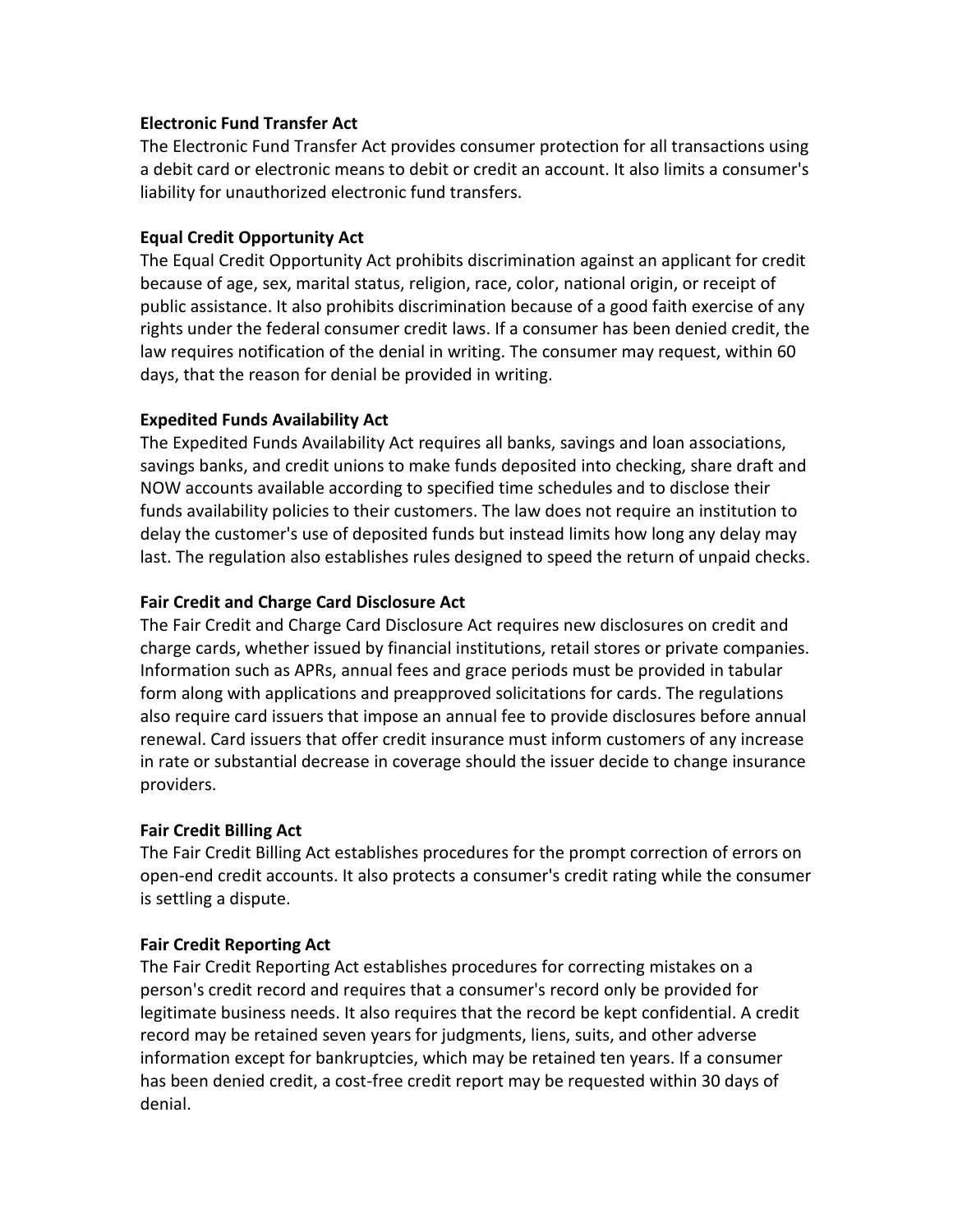## **Electronic Fund Transfer Act**

The Electronic Fund Transfer Act provides consumer protection for all transactions using a debit card or electronic means to debit or credit an account. It also limits a consumer's liability for unauthorized electronic fund transfers.

## **Equal Credit Opportunity Act**

The Equal Credit Opportunity Act prohibits discrimination against an applicant for credit because of age, sex, marital status, religion, race, color, national origin, or receipt of public assistance. It also prohibits discrimination because of a good faith exercise of any rights under the federal consumer credit laws. If a consumer has been denied credit, the law requires notification of the denial in writing. The consumer may request, within 60 days, that the reason for denial be provided in writing.

# **Expedited Funds Availability Act**

The Expedited Funds Availability Act requires all banks, savings and loan associations, savings banks, and credit unions to make funds deposited into checking, share draft and NOW accounts available according to specified time schedules and to disclose their funds availability policies to their customers. The law does not require an institution to delay the customer's use of deposited funds but instead limits how long any delay may last. The regulation also establishes rules designed to speed the return of unpaid checks.

# **Fair Credit and Charge Card Disclosure Act**

The Fair Credit and Charge Card Disclosure Act requires new disclosures on credit and charge cards, whether issued by financial institutions, retail stores or private companies. Information such as APRs, annual fees and grace periods must be provided in tabular form along with applications and preapproved solicitations for cards. The regulations also require card issuers that impose an annual fee to provide disclosures before annual renewal. Card issuers that offer credit insurance must inform customers of any increase in rate or substantial decrease in coverage should the issuer decide to change insurance providers.

# **Fair Credit Billing Act**

The Fair Credit Billing Act establishes procedures for the prompt correction of errors on open-end credit accounts. It also protects a consumer's credit rating while the consumer is settling a dispute.

## **Fair Credit Reporting Act**

The Fair Credit Reporting Act establishes procedures for correcting mistakes on a person's credit record and requires that a consumer's record only be provided for legitimate business needs. It also requires that the record be kept confidential. A credit record may be retained seven years for judgments, liens, suits, and other adverse information except for bankruptcies, which may be retained ten years. If a consumer has been denied credit, a cost-free credit report may be requested within 30 days of denial.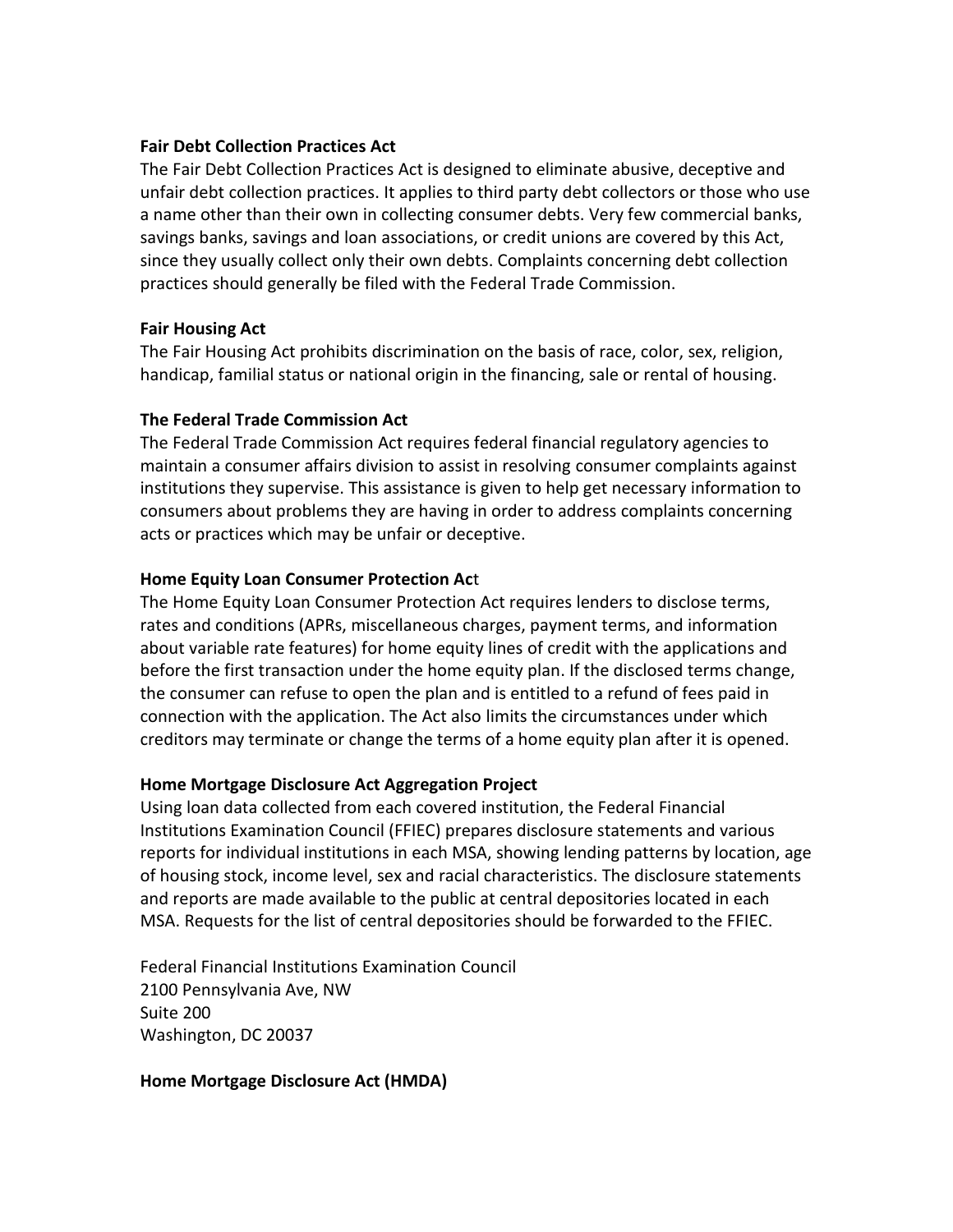#### **Fair Debt Collection Practices Act**

The Fair Debt Collection Practices Act is designed to eliminate abusive, deceptive and unfair debt collection practices. It applies to third party debt collectors or those who use a name other than their own in collecting consumer debts. Very few commercial banks, savings banks, savings and loan associations, or credit unions are covered by this Act, since they usually collect only their own debts. Complaints concerning debt collection practices should generally be filed with the Federal Trade Commission.

## **Fair Housing Act**

The Fair Housing Act prohibits discrimination on the basis of race, color, sex, religion, handicap, familial status or national origin in the financing, sale or rental of housing.

## **The Federal Trade Commission Act**

The Federal Trade Commission Act requires federal financial regulatory agencies to maintain a consumer affairs division to assist in resolving consumer complaints against institutions they supervise. This assistance is given to help get necessary information to consumers about problems they are having in order to address complaints concerning acts or practices which may be unfair or deceptive.

#### **Home Equity Loan Consumer Protection Ac**t

The Home Equity Loan Consumer Protection Act requires lenders to disclose terms, rates and conditions (APRs, miscellaneous charges, payment terms, and information about variable rate features) for home equity lines of credit with the applications and before the first transaction under the home equity plan. If the disclosed terms change, the consumer can refuse to open the plan and is entitled to a refund of fees paid in connection with the application. The Act also limits the circumstances under which creditors may terminate or change the terms of a home equity plan after it is opened.

#### **Home Mortgage Disclosure Act Aggregation Project**

Using loan data collected from each covered institution, the Federal Financial Institutions Examination Council (FFIEC) prepares disclosure statements and various reports for individual institutions in each MSA, showing lending patterns by location, age of housing stock, income level, sex and racial characteristics. The disclosure statements and reports are made available to the public at central depositories located in each MSA. Requests for the list of central depositories should be forwarded to the FFIEC.

Federal Financial Institutions Examination Council 2100 Pennsylvania Ave, NW Suite 200 Washington, DC 20037

## **Home Mortgage Disclosure Act (HMDA)**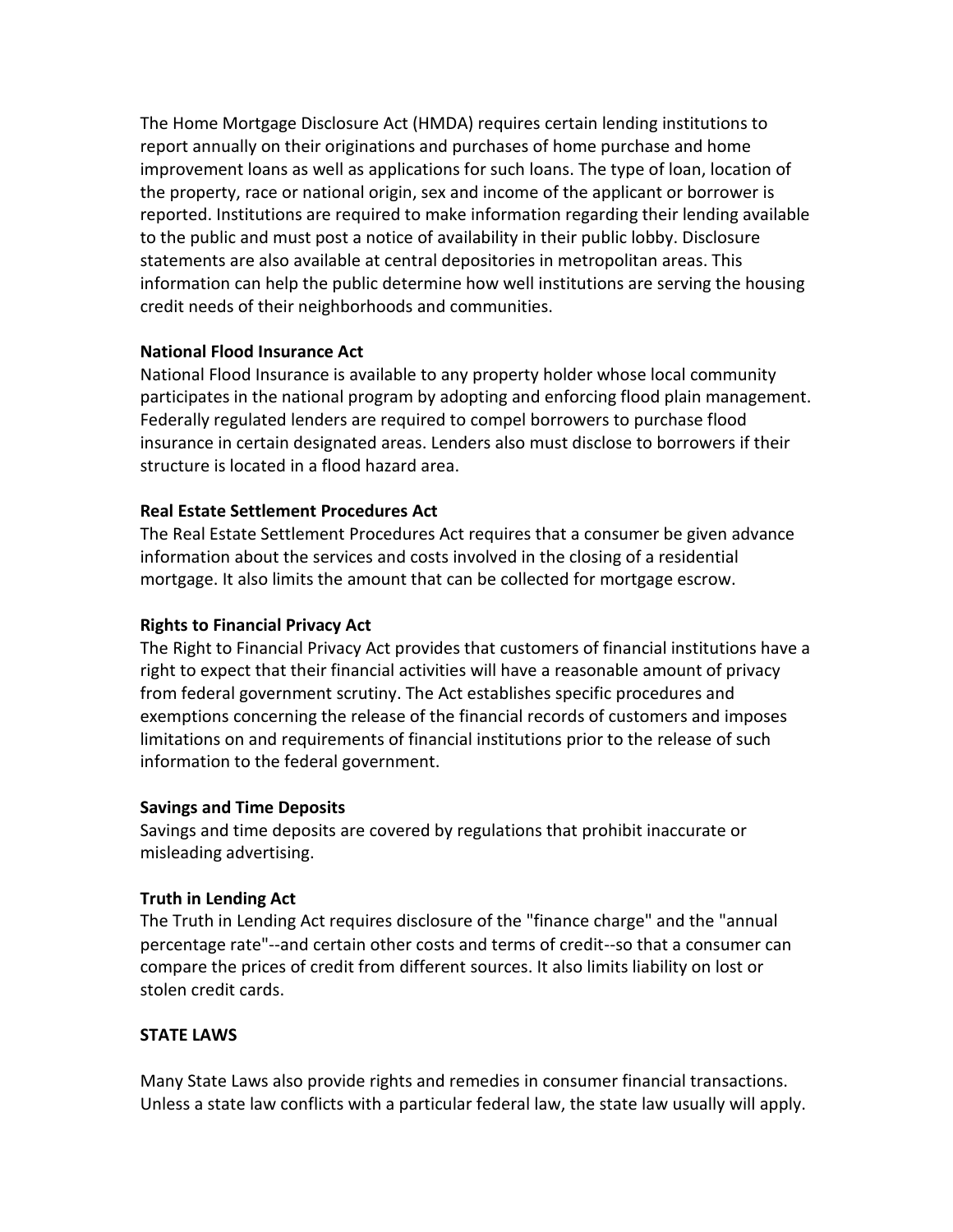The Home Mortgage Disclosure Act (HMDA) requires certain lending institutions to report annually on their originations and purchases of home purchase and home improvement loans as well as applications for such loans. The type of loan, location of the property, race or national origin, sex and income of the applicant or borrower is reported. Institutions are required to make information regarding their lending available to the public and must post a notice of availability in their public lobby. Disclosure statements are also available at central depositories in metropolitan areas. This information can help the public determine how well institutions are serving the housing credit needs of their neighborhoods and communities.

## **National Flood Insurance Act**

National Flood Insurance is available to any property holder whose local community participates in the national program by adopting and enforcing flood plain management. Federally regulated lenders are required to compel borrowers to purchase flood insurance in certain designated areas. Lenders also must disclose to borrowers if their structure is located in a flood hazard area.

## **Real Estate Settlement Procedures Act**

The Real Estate Settlement Procedures Act requires that a consumer be given advance information about the services and costs involved in the closing of a residential mortgage. It also limits the amount that can be collected for mortgage escrow.

# **Rights to Financial Privacy Act**

The Right to Financial Privacy Act provides that customers of financial institutions have a right to expect that their financial activities will have a reasonable amount of privacy from federal government scrutiny. The Act establishes specific procedures and exemptions concerning the release of the financial records of customers and imposes limitations on and requirements of financial institutions prior to the release of such information to the federal government.

# **Savings and Time Deposits**

Savings and time deposits are covered by regulations that prohibit inaccurate or misleading advertising.

# **Truth in Lending Act**

The Truth in Lending Act requires disclosure of the "finance charge" and the "annual percentage rate"--and certain other costs and terms of credit--so that a consumer can compare the prices of credit from different sources. It also limits liability on lost or stolen credit cards.

# **STATE LAWS**

Many State Laws also provide rights and remedies in consumer financial transactions. Unless a state law conflicts with a particular federal law, the state law usually will apply.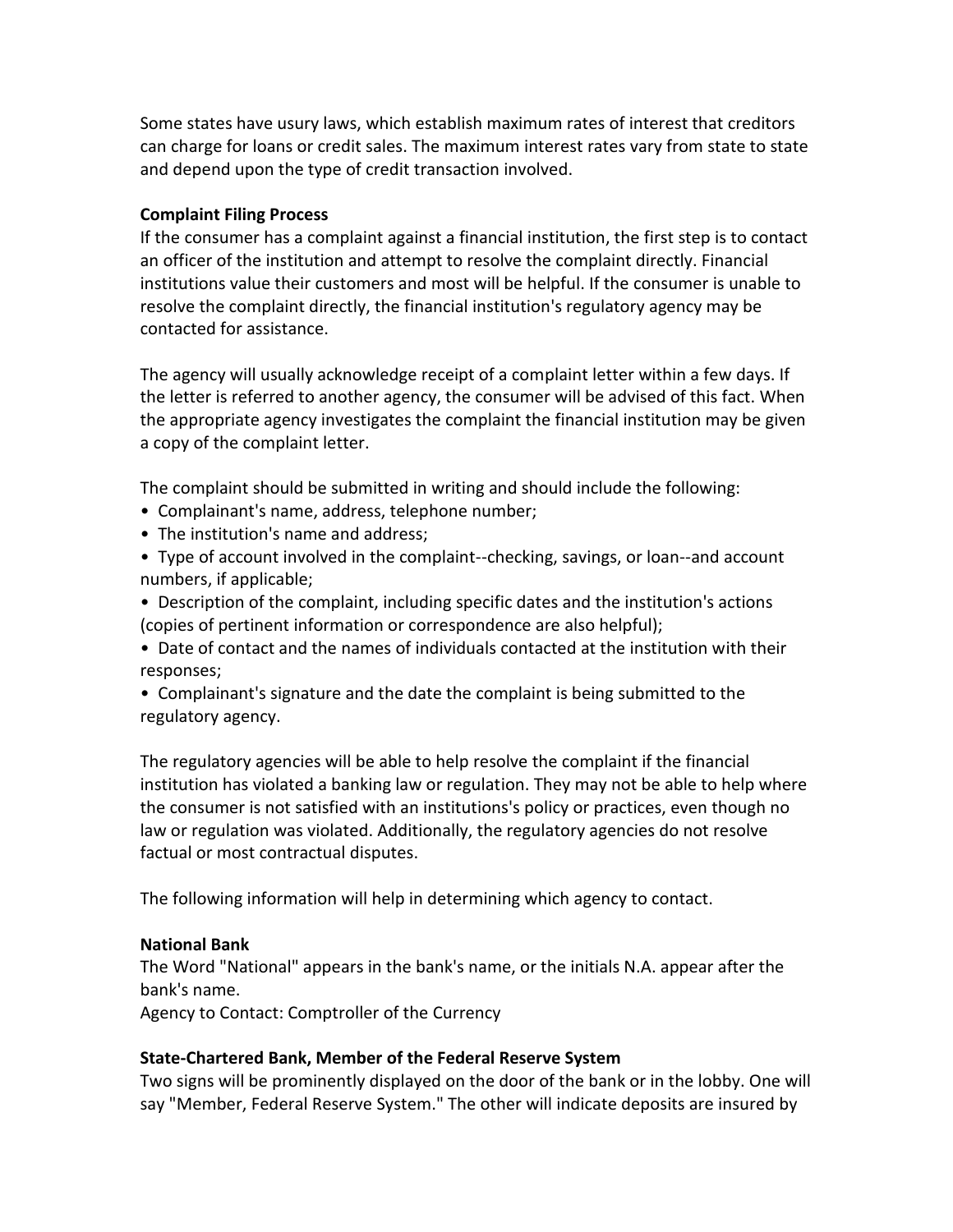Some states have usury laws, which establish maximum rates of interest that creditors can charge for loans or credit sales. The maximum interest rates vary from state to state and depend upon the type of credit transaction involved.

## **Complaint Filing Process**

If the consumer has a complaint against a financial institution, the first step is to contact an officer of the institution and attempt to resolve the complaint directly. Financial institutions value their customers and most will be helpful. If the consumer is unable to resolve the complaint directly, the financial institution's regulatory agency may be contacted for assistance.

The agency will usually acknowledge receipt of a complaint letter within a few days. If the letter is referred to another agency, the consumer will be advised of this fact. When the appropriate agency investigates the complaint the financial institution may be given a copy of the complaint letter.

The complaint should be submitted in writing and should include the following:

- Complainant's name, address, telephone number;
- The institution's name and address;
- Type of account involved in the complaint--checking, savings, or loan--and account numbers, if applicable;
- Description of the complaint, including specific dates and the institution's actions (copies of pertinent information or correspondence are also helpful);
- Date of contact and the names of individuals contacted at the institution with their responses;
- Complainant's signature and the date the complaint is being submitted to the regulatory agency.

The regulatory agencies will be able to help resolve the complaint if the financial institution has violated a banking law or regulation. They may not be able to help where the consumer is not satisfied with an institutions's policy or practices, even though no law or regulation was violated. Additionally, the regulatory agencies do not resolve factual or most contractual disputes.

The following information will help in determining which agency to contact.

## **National Bank**

The Word "National" appears in the bank's name, or the initials N.A. appear after the bank's name.

Agency to Contact: Comptroller of the Currency

## **State-Chartered Bank, Member of the Federal Reserve System**

Two signs will be prominently displayed on the door of the bank or in the lobby. One will say "Member, Federal Reserve System." The other will indicate deposits are insured by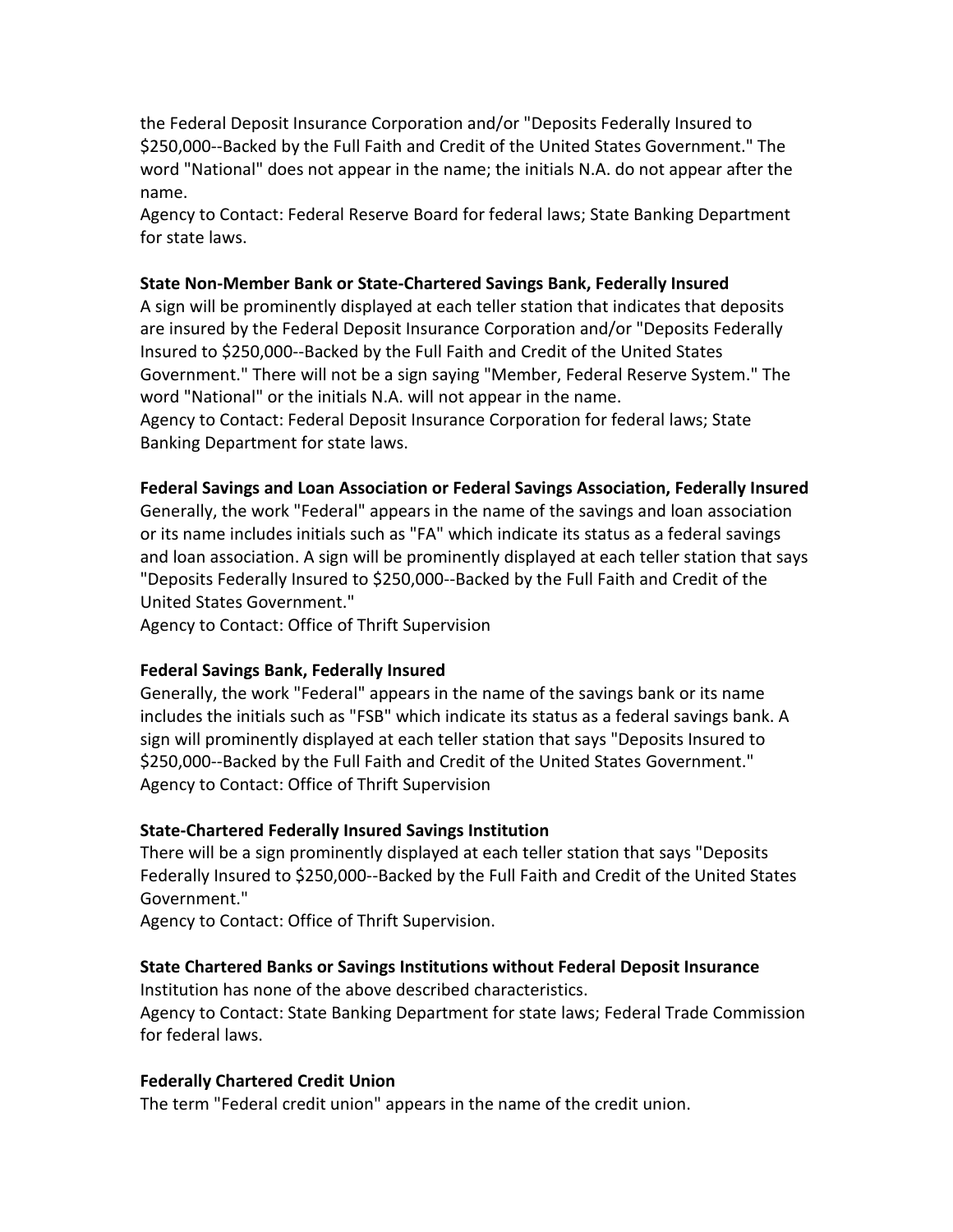the Federal Deposit Insurance Corporation and/or "Deposits Federally Insured to \$250,000--Backed by the Full Faith and Credit of the United States Government." The word "National" does not appear in the name; the initials N.A. do not appear after the name.

Agency to Contact: Federal Reserve Board for federal laws; State Banking Department for state laws.

## **State Non-Member Bank or State-Chartered Savings Bank, Federally Insured**

A sign will be prominently displayed at each teller station that indicates that deposits are insured by the Federal Deposit Insurance Corporation and/or "Deposits Federally Insured to \$250,000--Backed by the Full Faith and Credit of the United States Government." There will not be a sign saying "Member, Federal Reserve System." The word "National" or the initials N.A. will not appear in the name. Agency to Contact: Federal Deposit Insurance Corporation for federal laws; State

Banking Department for state laws.

## **Federal Savings and Loan Association or Federal Savings Association, Federally Insured**

Generally, the work "Federal" appears in the name of the savings and loan association or its name includes initials such as "FA" which indicate its status as a federal savings and loan association. A sign will be prominently displayed at each teller station that says "Deposits Federally Insured to \$250,000--Backed by the Full Faith and Credit of the United States Government."

Agency to Contact: Office of Thrift Supervision

## **Federal Savings Bank, Federally Insured**

Generally, the work "Federal" appears in the name of the savings bank or its name includes the initials such as "FSB" which indicate its status as a federal savings bank. A sign will prominently displayed at each teller station that says "Deposits Insured to \$250,000--Backed by the Full Faith and Credit of the United States Government." Agency to Contact: Office of Thrift Supervision

## **State-Chartered Federally Insured Savings Institution**

There will be a sign prominently displayed at each teller station that says "Deposits Federally Insured to \$250,000--Backed by the Full Faith and Credit of the United States Government."

Agency to Contact: Office of Thrift Supervision.

## **State Chartered Banks or Savings Institutions without Federal Deposit Insurance**

Institution has none of the above described characteristics. Agency to Contact: State Banking Department for state laws; Federal Trade Commission for federal laws.

## **Federally Chartered Credit Union**

The term "Federal credit union" appears in the name of the credit union.